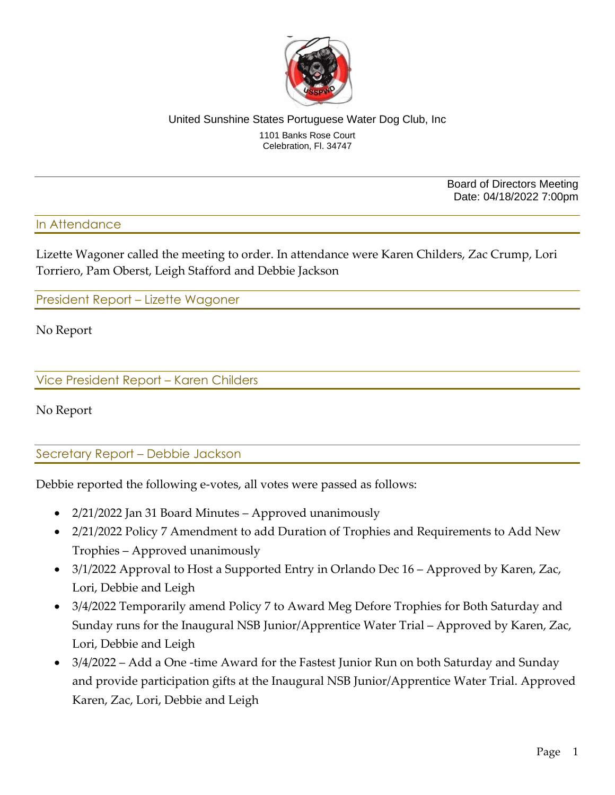

#### United Sunshine States Portuguese Water Dog Club, Inc 1101 Banks Rose Court Celebration, Fl. 34747

Board of Directors Meeting Date: 04/18/2022 7:00pm

### In Attendance

Lizette Wagoner called the meeting to order. In attendance were Karen Childers, Zac Crump, Lori Torriero, Pam Oberst, Leigh Stafford and Debbie Jackson

President Report – Lizette Wagoner

No Report

Vice President Report – Karen Childers

No Report

Secretary Report – Debbie Jackson

Debbie reported the following e-votes, all votes were passed as follows:

- 2/21/2022 Jan 31 Board Minutes Approved unanimously
- 2/21/2022 Policy 7 Amendment to add Duration of Trophies and Requirements to Add New Trophies – Approved unanimously
- 3/1/2022 Approval to Host a Supported Entry in Orlando Dec 16 Approved by Karen, Zac, Lori, Debbie and Leigh
- 3/4/2022 Temporarily amend Policy 7 to Award Meg Defore Trophies for Both Saturday and Sunday runs for the Inaugural NSB Junior/Apprentice Water Trial – Approved by Karen, Zac, Lori, Debbie and Leigh
- 3/4/2022 Add a One -time Award for the Fastest Junior Run on both Saturday and Sunday and provide participation gifts at the Inaugural NSB Junior/Apprentice Water Trial. Approved Karen, Zac, Lori, Debbie and Leigh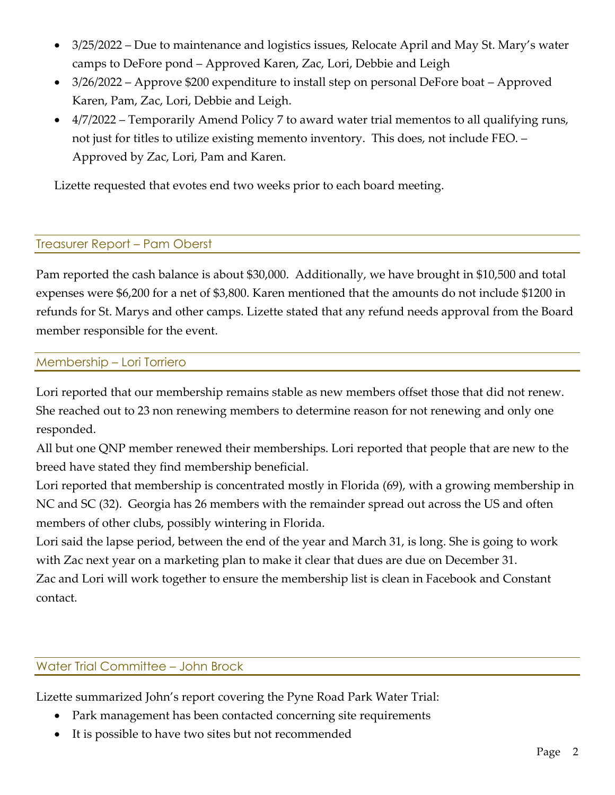- 3/25/2022 Due to maintenance and logistics issues, Relocate April and May St. Mary's water camps to DeFore pond – Approved Karen, Zac, Lori, Debbie and Leigh
- 3/26/2022 Approve \$200 expenditure to install step on personal DeFore boat Approved Karen, Pam, Zac, Lori, Debbie and Leigh.
- 4/7/2022 Temporarily Amend Policy 7 to award water trial mementos to all qualifying runs, not just for titles to utilize existing memento inventory. This does, not include FEO. – Approved by Zac, Lori, Pam and Karen.

Lizette requested that evotes end two weeks prior to each board meeting.

# Treasurer Report – Pam Oberst

Pam reported the cash balance is about \$30,000. Additionally, we have brought in \$10,500 and total expenses were \$6,200 for a net of \$3,800. Karen mentioned that the amounts do not include \$1200 in refunds for St. Marys and other camps. Lizette stated that any refund needs approval from the Board member responsible for the event.

## Membership – Lori Torriero

Lori reported that our membership remains stable as new members offset those that did not renew. She reached out to 23 non renewing members to determine reason for not renewing and only one responded.

All but one QNP member renewed their memberships. Lori reported that people that are new to the breed have stated they find membership beneficial.

Lori reported that membership is concentrated mostly in Florida (69), with a growing membership in NC and SC (32). Georgia has 26 members with the remainder spread out across the US and often members of other clubs, possibly wintering in Florida.

Lori said the lapse period, between the end of the year and March 31, is long. She is going to work with Zac next year on a marketing plan to make it clear that dues are due on December 31. Zac and Lori will work together to ensure the membership list is clean in Facebook and Constant contact.

# Water Trial Committee – John Brock

Lizette summarized John's report covering the Pyne Road Park Water Trial:

- Park management has been contacted concerning site requirements
- It is possible to have two sites but not recommended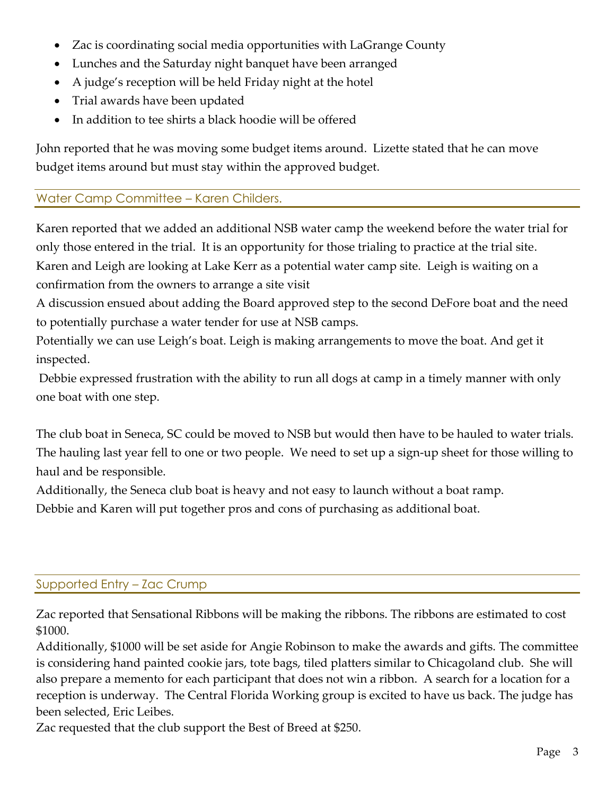- Zac is coordinating social media opportunities with LaGrange County
- Lunches and the Saturday night banquet have been arranged
- A judge's reception will be held Friday night at the hotel
- Trial awards have been updated
- In addition to tee shirts a black hoodie will be offered

John reported that he was moving some budget items around. Lizette stated that he can move budget items around but must stay within the approved budget.

# Water Camp Committee – Karen Childers.

Karen reported that we added an additional NSB water camp the weekend before the water trial for only those entered in the trial. It is an opportunity for those trialing to practice at the trial site. Karen and Leigh are looking at Lake Kerr as a potential water camp site. Leigh is waiting on a confirmation from the owners to arrange a site visit

A discussion ensued about adding the Board approved step to the second DeFore boat and the need to potentially purchase a water tender for use at NSB camps.

Potentially we can use Leigh's boat. Leigh is making arrangements to move the boat. And get it inspected.

Debbie expressed frustration with the ability to run all dogs at camp in a timely manner with only one boat with one step.

The club boat in Seneca, SC could be moved to NSB but would then have to be hauled to water trials. The hauling last year fell to one or two people. We need to set up a sign-up sheet for those willing to haul and be responsible.

Additionally, the Seneca club boat is heavy and not easy to launch without a boat ramp.

Debbie and Karen will put together pros and cons of purchasing as additional boat.

# Supported Entry – Zac Crump

Zac reported that Sensational Ribbons will be making the ribbons. The ribbons are estimated to cost \$1000.

Additionally, \$1000 will be set aside for Angie Robinson to make the awards and gifts. The committee is considering hand painted cookie jars, tote bags, tiled platters similar to Chicagoland club. She will also prepare a memento for each participant that does not win a ribbon. A search for a location for a reception is underway. The Central Florida Working group is excited to have us back. The judge has been selected, Eric Leibes.

Zac requested that the club support the Best of Breed at \$250.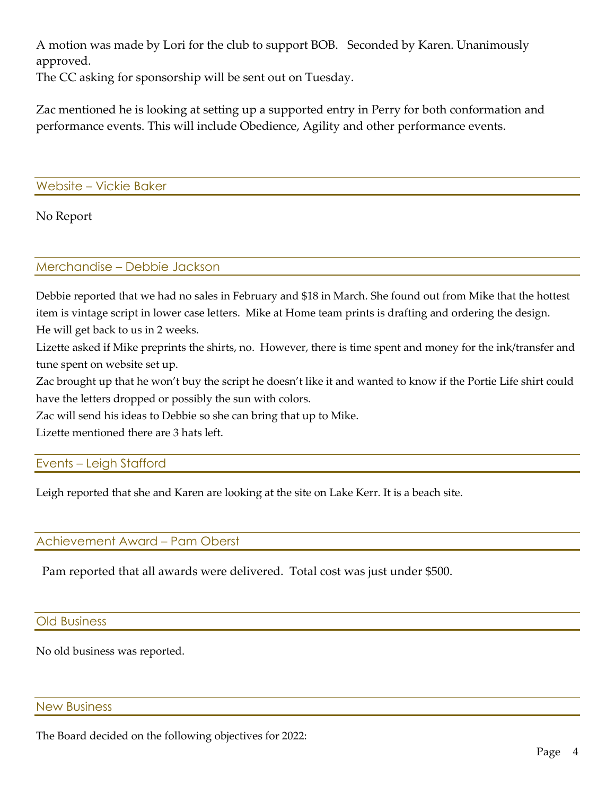A motion was made by Lori for the club to support BOB. Seconded by Karen. Unanimously approved.

The CC asking for sponsorship will be sent out on Tuesday.

Zac mentioned he is looking at setting up a supported entry in Perry for both conformation and performance events. This will include Obedience, Agility and other performance events.

Website – Vickie Baker

No Report

### Merchandise – Debbie Jackson

Debbie reported that we had no sales in February and \$18 in March. She found out from Mike that the hottest item is vintage script in lower case letters. Mike at Home team prints is drafting and ordering the design. He will get back to us in 2 weeks.

Lizette asked if Mike preprints the shirts, no. However, there is time spent and money for the ink/transfer and tune spent on website set up.

Zac brought up that he won't buy the script he doesn't like it and wanted to know if the Portie Life shirt could have the letters dropped or possibly the sun with colors.

Zac will send his ideas to Debbie so she can bring that up to Mike.

Lizette mentioned there are 3 hats left.

## Events – Leigh Stafford

Leigh reported that she and Karen are looking at the site on Lake Kerr. It is a beach site.

## Achievement Award – Pam Oberst

Pam reported that all awards were delivered. Total cost was just under \$500.

#### Old Business

No old business was reported.

#### New Business

The Board decided on the following objectives for 2022: